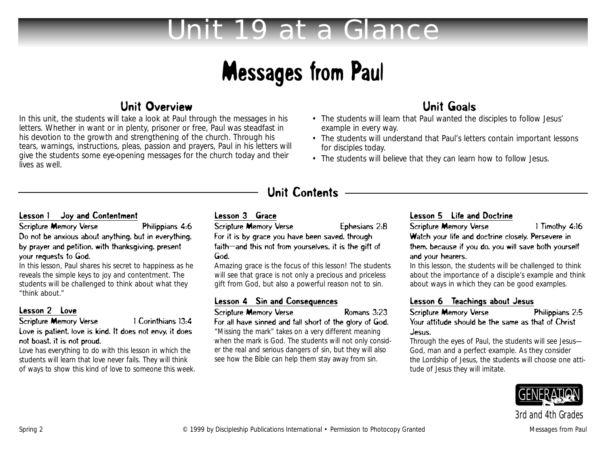# *Unit 19 at a Glance*

# Messages from Paul

## Unit Overview

In this unit, the students will take a look at Paul through the messages in his letters. Whether in want or in plenty, prisoner or free, Paul was steadfast in his devotion to the growth and strengthening of the church. Through his tears, warnings, instructions, pleas, passion and prayers, Paul in his letters will give the students some eye-opening messages for the church today and their lives as well.

# Unit Goals

- The students will learn that Paul wanted the disciples to follow Jesus' example in every way.
- The students will understand that Paul's letters contain important lessons for disciples today.
- The students will believe that they can learn how to follow Jesus.

## Unit Contents

#### Lesson 1 Joy and Contentment

Scripture Memory Verse Philippians 4:6 Do not be anxious about anything, but in everything, by prayer and petition, with thanksgiving, present your requests to God.

In this lesson, Paul shares his secret to happiness as he reveals the simple keys to joy and contentment. The students will be challenged to think about what they "think about."

#### Lesson 2 Love

#### Scripture Memory Verse 1 Corinthians 13:4 Love is patient, love is kind. It does not envy, it does not boast, it is not proud.

Love has everything to do with this lesson in which the students will learn that love never fails. They will think of ways to show this kind of love to someone this week.

#### Lesson 3 Grace

Scripture Memory Verse Ephesians 2:8

For it is by grace you have been saved, through faith—and this not from yourselves, it is the gift of God.

Amazing grace is the focus of this lesson! The students will see that grace is not only a precious and priceless gift from God, but also a powerful reason not to sin.

#### Lesson 4 Sin and Consequences

Scripture Memory Verse Romans 3:23

For all have sinned and fall short of the glory of God. "Missing the mark" takes on a very different meaning when the mark is God. The students will not only consider the real and serious dangers of sin, but they will also see how the Bible can help them stay away from sin.

### Lesson 5 Life and Doctrine

Scripture Memory Verse 1 Timothy 4:16 Watch your life and doctrine closely. Persevere in them, because if you do, you will save both yourself and your hearers.

In this lesson, the students will be challenged to think about the importance of a disciple's example and think about ways in which they can be good examples.

Lesson 6 Teachings about Jesus<br>Scripture Memory Verse Philippians 2:5 Scripture Memory Verse Your attitude should be the same as that of Christ Jesus.

Through the eyes of Paul, the students will see Jesus— God, man and a perfect example. As they consider the Lordship of Jesus, the students will choose one attitude of Jesus they will imitate.



*3rd and 4th Grades*